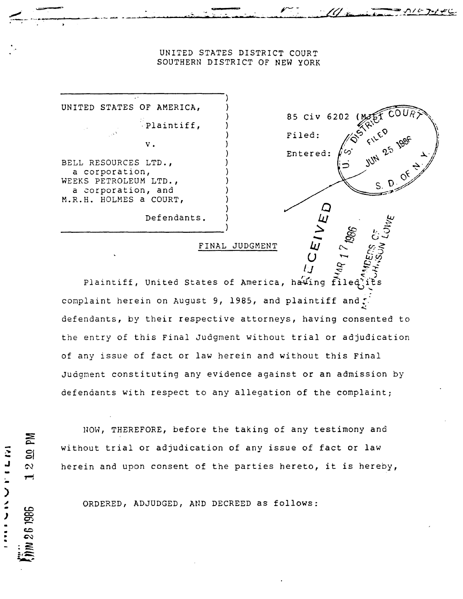## UNITED STATES DISTRICT COURT SOUTHERN DISTRICT OF NEW YORK

85 Civ 6202

 $S<sub>1</sub>$ 

Filed:

Entered:

UNITED STATES OF AMERICA, Plaintiff,  $\mathbf v$  . BELL RESOURCES LTD., a corporation, WEEKS PETROLEUM LTD., a corporation, and M.R.H. HOLMES a COURT, Defendants.

MA

 $\mathbf{S}$ 

 $\mathbf{z}$ 

**IN 26 1986** 

こいこう ミノ

FINAL JUDGMENT

Plaintiff, United States of America, having filed) complaint herein on August 9, 1985, and plaintiff and . defendants, by their respective attorneys, having consented to the entry of this Final Judgment without trial or adjudication of any issue of fact or law herein and without this Final Judgment constituting any evidence against or an admission by defendants with respect to any allegation of the complaint;

NOW, THEREFORE, before the taking of any testimony and without trial or adjudication of any issue of fact or law herein and upon consent of the parties hereto, it is hereby,

ORDERED, ADJUDGED, AND DECREED as follows: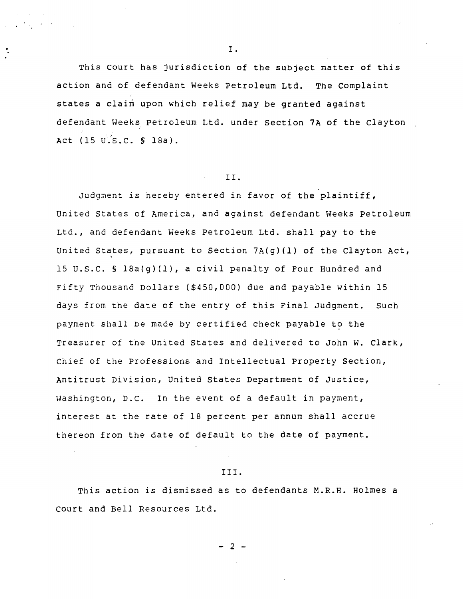· , '

÷.

This court has jurisdiction of the subject matter of this action and of defendant Weeks Petroleum Ltd. The Complaint states a claim upon which relief may be granted against defendant Weeks petroleum Ltd. under Section 7A of the clayton Act  $(15 \t{U.S.C.} \t{S} 18a)$ .

## II.

Judgment is hereby entered in favor of the plaintiff, United States of America, and against defendant Weeks Petroleum Ltd., and defendant Weeks Petroleum Ltd. shall pay to the United States, pursuant to Section  $7A(g)(1)$  of the Clayton Act, 15 U.S.C. § 18a(g)(1), a civil penalty of Four Hundred and Fifty Thousand Dollars (\$450,000) due and payable within 15 days from the date of the entry of this Final Judgment. Such payment shall be made by certified check payable to the Treasurer of the United States and delivered to John W. Clark, Chief of tbe Professions and Intellectual property Section, Antitrust Division, United States Department of Justice, Washington, D.C. In the event of a default in payment, interest at the rate of 18 percent per annum shall accrue thereon from the date of default to the date of payment.

## III.

This action is dismissed as to defendants M.R.H. Holmes a court and Bell Resources Ltd.

## - 2 -